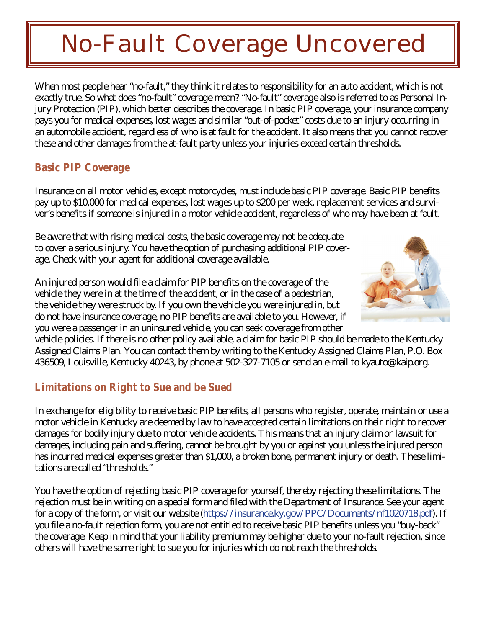## **No-Fault Coverage Uncovered**

When most people hear "no-fault," they think it relates to responsibility for an auto accident, which is not exactly true. So what does "no-fault" coverage mean? "No-fault" coverage also is referred to as Personal Injury Protection (PIP), which better describes the coverage. In basic PIP coverage, your insurance company pays you for medical expenses, lost wages and similar "out-of-pocket" costs due to an injury occurring in an automobile accident, regardless of who is at fault for the accident. It also means that you cannot recover these and other damages from the at-fault party unless your injuries exceed certain thresholds.

## **Basic PIP Coverage**

Insurance on all motor vehicles, except motorcycles, must include basic PIP coverage. Basic PIP benefits pay up to \$10,000 for medical expenses, lost wages up to \$200 per week, replacement services and survivor's benefits if someone is injured in a motor vehicle accident, regardless of who may have been at fault.

Be aware that with rising medical costs, the basic coverage may not be adequate to cover a serious injury. You have the option of purchasing additional PIP coverage. Check with your agent for additional coverage available.

An injured person would file a claim for PIP benefits on the coverage of the vehicle they were in at the time of the accident, or in the case of a pedestrian, the vehicle they were struck by. If you own the vehicle you were injured in, but do not have insurance coverage, no PIP benefits are available to you. However, if you were a passenger in an uninsured vehicle, you can seek coverage from other



vehicle policies. If there is no other policy available, a claim for basic PIP should be made to the Kentucky Assigned Claims Plan. You can contact them by writing to the Kentucky Assigned Claims Plan, P.O. Box 436509, Louisville, Kentucky 40243, by phone at 502-327-7105 or send an e-mail to kyauto@kaip.org.

## **Limitations on Right to Sue and be Sued**

In exchange for eligibility to receive basic PIP benefits, all persons who register, operate, maintain or use a motor vehicle in Kentucky are deemed by law to have accepted certain limitations on their right to recover damages for bodily injury due to motor vehicle accidents. This means that an injury claim or lawsuit for damages, including pain and suffering, cannot be brought by you or against you unless the injured person has incurred medical expenses greater than \$1,000, a broken bone, permanent injury or death. These limitations are called "thresholds."

You have the option of rejecting basic PIP coverage for yourself, thereby rejecting these limitations. The rejection must be in writing on a special form and filed with the Department of Insurance. See your agent for a copy of the form, or visit our website (https://insurance.ky.gov/PPC/Documents/nf1020718.pdf). If you file a no-fault rejection form, you are n[ot entitled to receive basic PIP benefits unless you "buy-ba](http://insurance.ky.gov/Documents/nf1abc030713.pdf)ck" the coverage. Keep in mind that your liability premium may be higher due to your no-fault rejection, since others will have the same right to sue you for injuries which do not reach the thresholds.